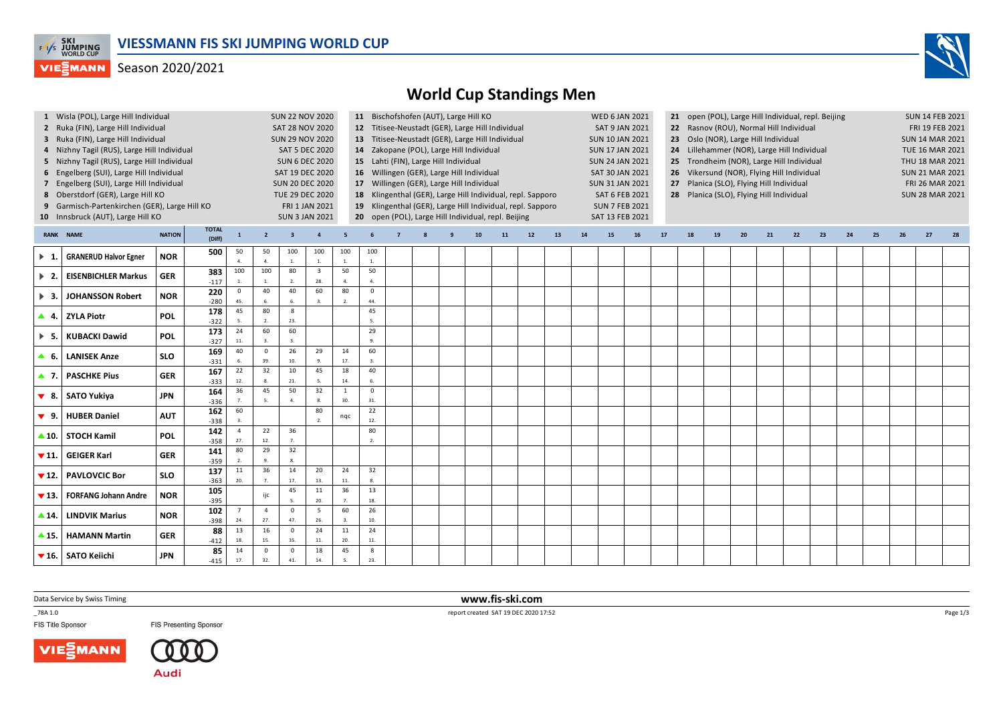

## Season 2020/2021



## **World Cup Standings Men**

|                          | 1 Wisla (POL), Large Hill Individual                                 |               | <b>SUN 22 NOV 2020</b> |                |                        | 11 Bischofshofen (AUT), Large Hill KO            |                                |                         |                                                            |                                          |                                                                     |  |    |                                                                  | <b>WED 6 JAN 2021</b>  |    |                                                               | 21 open (POL), Large Hill Individual, repl. Beijing                   |                                      | <b>SUN 14 FEB 2021</b> |                                          |                                          |                        |    |    |                 |                        |    |                        |    |  |  |  |
|--------------------------|----------------------------------------------------------------------|---------------|------------------------|----------------|------------------------|--------------------------------------------------|--------------------------------|-------------------------|------------------------------------------------------------|------------------------------------------|---------------------------------------------------------------------|--|----|------------------------------------------------------------------|------------------------|----|---------------------------------------------------------------|-----------------------------------------------------------------------|--------------------------------------|------------------------|------------------------------------------|------------------------------------------|------------------------|----|----|-----------------|------------------------|----|------------------------|----|--|--|--|
|                          | 2 Ruka (FIN), Large Hill Individual                                  |               | SAT 28 NOV 2020        |                |                        | 12 Titisee-Neustadt (GER), Large Hill Individual |                                |                         |                                                            |                                          |                                                                     |  |    | 22 Rasnov (ROU), Normal Hill Individual<br><b>SAT 9 JAN 2021</b> |                        |    |                                                               |                                                                       |                                      |                        |                                          |                                          |                        |    |    | FRI 19 FEB 2021 |                        |    |                        |    |  |  |  |
|                          | 3 Ruka (FIN), Large Hill Individual                                  |               | <b>SUN 29 NOV 2020</b> |                |                        | 13 Titisee-Neustadt (GER), Large Hill Individual |                                |                         |                                                            |                                          |                                                                     |  |    |                                                                  | <b>SUN 10 JAN 2021</b> |    |                                                               |                                                                       | 23 Oslo (NOR), Large Hill Individual |                        | <b>SUN 14 MAR 2021</b>                   |                                          |                        |    |    |                 |                        |    |                        |    |  |  |  |
|                          | 4 Nizhny Tagil (RUS), Large Hill Individual<br><b>SAT 5 DEC 2020</b> |               |                        |                |                        |                                                  |                                |                         |                                                            | 14 Zakopane (POL), Large Hill Individual |                                                                     |  |    |                                                                  |                        |    |                                                               | <b>SUN 17 JAN 2021</b><br>24 Lillehammer (NOR), Large Hill Individual |                                      |                        |                                          |                                          |                        |    |    |                 |                        |    | <b>TUE 16 MAR 2021</b> |    |  |  |  |
|                          | 5 Nizhny Tagil (RUS), Large Hill Individual<br><b>SUN 6 DEC 2020</b> |               |                        |                |                        |                                                  |                                |                         |                                                            | 15 Lahti (FIN), Large Hill Individual    | <b>SUN 24 JAN 2021</b><br>25 Trondheim (NOR), Large Hill Individual |  |    |                                                                  |                        |    |                                                               |                                                                       |                                      |                        |                                          | THU 18 MAR 2021                          |                        |    |    |                 |                        |    |                        |    |  |  |  |
|                          | 6 Engelberg (SUI), Large Hill Individual                             |               |                        |                |                        | SAT 19 DEC 2020                                  |                                |                         | 16 Willingen (GER), Large Hill Individual                  |                                          |                                                                     |  |    |                                                                  |                        |    | SAT 30 JAN 2021<br>26 Vikersund (NOR), Flying Hill Individual |                                                                       |                                      |                        |                                          |                                          |                        |    |    |                 | <b>SUN 21 MAR 2021</b> |    |                        |    |  |  |  |
|                          | 7 Engelberg (SUI), Large Hill Individual                             |               |                        |                |                        | <b>SUN 20 DEC 2020</b>                           |                                |                         | 17 Willingen (GER), Large Hill Individual                  |                                          |                                                                     |  |    |                                                                  |                        |    |                                                               | <b>SUN 31 JAN 2021</b>                                                |                                      |                        |                                          | 27 Planica (SLO), Flying Hill Individual |                        |    |    |                 |                        |    | FRI 26 MAR 2021        |    |  |  |  |
|                          | 8 Oberstdorf (GER), Large Hill KO                                    |               |                        |                | <b>TUE 29 DEC 2020</b> |                                                  |                                |                         | 18 Klingenthal (GER), Large Hill Individual, repl. Sapporo |                                          |                                                                     |  |    |                                                                  |                        |    |                                                               | SAT 6 FEB 2021                                                        |                                      |                        | 28 Planica (SLO), Flying Hill Individual |                                          | <b>SUN 28 MAR 2021</b> |    |    |                 |                        |    |                        |    |  |  |  |
|                          | 9 Garmisch-Partenkirchen (GER), Large Hill KO                        |               |                        |                |                        |                                                  | FRI 1 JAN 2021                 |                         | 19 Klingenthal (GER), Large Hill Individual, repl. Sapporo |                                          |                                                                     |  |    |                                                                  |                        |    |                                                               | <b>SUN 7 FEB 2021</b>                                                 |                                      |                        |                                          |                                          |                        |    |    |                 |                        |    |                        |    |  |  |  |
|                          | 10 Innsbruck (AUT), Large Hill KO                                    |               |                        |                |                        |                                                  |                                |                         | 20 open (POL), Large Hill Individual, repl. Beijing        |                                          |                                                                     |  |    |                                                                  |                        |    |                                                               | SAT 13 FEB 2021                                                       |                                      |                        |                                          |                                          |                        |    |    |                 |                        |    |                        |    |  |  |  |
|                          |                                                                      |               | <b>TOTAL</b>           |                | <b>SUN 3 JAN 2021</b>  |                                                  |                                |                         |                                                            |                                          |                                                                     |  |    |                                                                  |                        |    |                                                               |                                                                       |                                      |                        |                                          |                                          |                        |    |    |                 |                        |    |                        |    |  |  |  |
|                          | <b>RANK NAME</b>                                                     | <b>NATION</b> | (Diff)                 | $\mathbf 1$    | $\overline{2}$         | $\overline{\mathbf{3}}$                          | $\overline{4}$                 | 5                       |                                                            |                                          |                                                                     |  | 10 | 11                                                               | 12                     | 13 | 14                                                            | 15                                                                    | 16                                   | 17                     | 18                                       | 19                                       | 20                     | 21 | 22 | 23              | 24                     | 25 | 26                     | 27 |  |  |  |
| $\blacktriangleright$ 1. | <b>GRANERUD Halvor Egner</b>                                         | <b>NOR</b>    | 500                    | 50             | 50                     | 100                                              | 100                            | 100                     | 100                                                        |                                          |                                                                     |  |    |                                                                  |                        |    |                                                               |                                                                       |                                      |                        |                                          |                                          |                        |    |    |                 |                        |    |                        |    |  |  |  |
|                          |                                                                      |               |                        | $\overline{a}$ | $\overline{4}$         | $\overline{1}$                                   | $\overline{1}$                 | 1.                      | 1.                                                         |                                          |                                                                     |  |    |                                                                  |                        |    |                                                               |                                                                       |                                      |                        |                                          |                                          |                        |    |    |                 |                        |    |                        |    |  |  |  |
| $\blacktriangleright$ 2. | <b>EISENBICHLER Markus</b>                                           | <b>GER</b>    | 383                    | 100            | 100                    | 80                                               | $\overline{\mathbf{3}}$<br>28. | 50                      | 50<br>$\mathbf{A}$                                         |                                          |                                                                     |  |    |                                                                  |                        |    |                                                               |                                                                       |                                      |                        |                                          |                                          |                        |    |    |                 |                        |    |                        |    |  |  |  |
|                          |                                                                      |               | $-117$<br>220          | $\mathsf 0$    | 40                     | 40                                               | 60                             | 80                      | $\mathsf 0$                                                |                                          |                                                                     |  |    |                                                                  |                        |    |                                                               |                                                                       |                                      |                        |                                          |                                          |                        |    |    |                 |                        |    |                        |    |  |  |  |
| $\blacktriangleright$ 3. | <b>JOHANSSON Robert</b>                                              | <b>NOR</b>    | $-280$                 | 45.            | 6.                     |                                                  |                                | $\overline{\mathbf{z}}$ | 44                                                         |                                          |                                                                     |  |    |                                                                  |                        |    |                                                               |                                                                       |                                      |                        |                                          |                                          |                        |    |    |                 |                        |    |                        |    |  |  |  |
|                          |                                                                      |               | 178                    | 45             | 80                     | 8                                                |                                |                         | 45                                                         |                                          |                                                                     |  |    |                                                                  |                        |    |                                                               |                                                                       |                                      |                        |                                          |                                          |                        |    |    |                 |                        |    |                        |    |  |  |  |
|                          | $\triangle$ 4. ZYLA Piotr                                            | <b>POL</b>    | $-322$                 | 5              | $\overline{2}$ .       | 23.                                              |                                |                         | 5.                                                         |                                          |                                                                     |  |    |                                                                  |                        |    |                                                               |                                                                       |                                      |                        |                                          |                                          |                        |    |    |                 |                        |    |                        |    |  |  |  |
| $\triangleright$ 5.      | <b>KUBACKI Dawid</b>                                                 | <b>POL</b>    | 173                    | 24             | 60                     | 60                                               |                                |                         | 29                                                         |                                          |                                                                     |  |    |                                                                  |                        |    |                                                               |                                                                       |                                      |                        |                                          |                                          |                        |    |    |                 |                        |    |                        |    |  |  |  |
|                          |                                                                      |               | $-327$                 | 11.            |                        |                                                  |                                |                         |                                                            |                                          |                                                                     |  |    |                                                                  |                        |    |                                                               |                                                                       |                                      |                        |                                          |                                          |                        |    |    |                 |                        |    |                        |    |  |  |  |
| ▲ 6.                     | <b>LANISEK Anze</b>                                                  | <b>SLO</b>    | 169                    | 40             | $\mathsf 0$            | 26                                               | 29                             | 14                      | 60                                                         |                                          |                                                                     |  |    |                                                                  |                        |    |                                                               |                                                                       |                                      |                        |                                          |                                          |                        |    |    |                 |                        |    |                        |    |  |  |  |
|                          |                                                                      |               | $-331$                 |                | 39.                    | 10.                                              |                                | 17.                     | $\mathbf{3}$                                               |                                          |                                                                     |  |    |                                                                  |                        |    |                                                               |                                                                       |                                      |                        |                                          |                                          |                        |    |    |                 |                        |    |                        |    |  |  |  |
| $\blacktriangle$ 7.      | <b>PASCHKE Pius</b>                                                  | <b>GER</b>    | 167                    | 22             | 32<br>8.               | 10<br>21.                                        | 45                             | 18                      | 40<br>6.                                                   |                                          |                                                                     |  |    |                                                                  |                        |    |                                                               |                                                                       |                                      |                        |                                          |                                          |                        |    |    |                 |                        |    |                        |    |  |  |  |
|                          |                                                                      |               | $-333$<br>164          | 12.<br>36      | 45                     | 50                                               | -5.<br>32                      | 14.<br>$\mathbf{1}$     | $\mathsf 0$                                                |                                          |                                                                     |  |    |                                                                  |                        |    |                                                               |                                                                       |                                      |                        |                                          |                                          |                        |    |    |                 |                        |    |                        |    |  |  |  |
|                          | $\bullet$ 8.   SATO Yukiya                                           | <b>JPN</b>    | $-336$                 |                |                        |                                                  |                                | 30.                     | 31.                                                        |                                          |                                                                     |  |    |                                                                  |                        |    |                                                               |                                                                       |                                      |                        |                                          |                                          |                        |    |    |                 |                        |    |                        |    |  |  |  |
|                          |                                                                      |               | 162                    | 60             |                        |                                                  | 80                             |                         | 22                                                         |                                          |                                                                     |  |    |                                                                  |                        |    |                                                               |                                                                       |                                      |                        |                                          |                                          |                        |    |    |                 |                        |    |                        |    |  |  |  |
| 9.                       | <b>HUBER Daniel</b>                                                  | <b>AUT</b>    | $-338$                 |                |                        |                                                  |                                | nqc                     | 12.                                                        |                                          |                                                                     |  |    |                                                                  |                        |    |                                                               |                                                                       |                                      |                        |                                          |                                          |                        |    |    |                 |                        |    |                        |    |  |  |  |
|                          | $\triangle$ 10. STOCH Kamil                                          | <b>POL</b>    | 142                    | $\overline{4}$ | 22                     | 36                                               |                                |                         | 80                                                         |                                          |                                                                     |  |    |                                                                  |                        |    |                                                               |                                                                       |                                      |                        |                                          |                                          |                        |    |    |                 |                        |    |                        |    |  |  |  |
|                          |                                                                      |               | $-358$                 | 27.            | 12.                    | $\overline{7}$                                   |                                |                         | $\overline{2}$                                             |                                          |                                                                     |  |    |                                                                  |                        |    |                                                               |                                                                       |                                      |                        |                                          |                                          |                        |    |    |                 |                        |    |                        |    |  |  |  |
| $\blacktriangledown$ 11. | <b>GEIGER Karl</b>                                                   | <b>GER</b>    | 141                    | 80             | 29                     | 32                                               |                                |                         |                                                            |                                          |                                                                     |  |    |                                                                  |                        |    |                                                               |                                                                       |                                      |                        |                                          |                                          |                        |    |    |                 |                        |    |                        |    |  |  |  |
|                          |                                                                      |               | $-359$                 |                | $\mathbf{q}$           | 8.                                               |                                |                         |                                                            |                                          |                                                                     |  |    |                                                                  |                        |    |                                                               |                                                                       |                                      |                        |                                          |                                          |                        |    |    |                 |                        |    |                        |    |  |  |  |
| $\blacktriangledown$ 12. | <b>PAVLOVCIC Bor</b>                                                 | <b>SLO</b>    | 137                    | 11             | 36                     | 14                                               | 20                             | 24                      | 32                                                         |                                          |                                                                     |  |    |                                                                  |                        |    |                                                               |                                                                       |                                      |                        |                                          |                                          |                        |    |    |                 |                        |    |                        |    |  |  |  |
|                          |                                                                      |               | $-363$                 | 20.            |                        | 17.<br>45                                        | 13.<br>$11\,$                  | 11.<br>36               | 8.<br>13                                                   |                                          |                                                                     |  |    |                                                                  |                        |    |                                                               |                                                                       |                                      |                        |                                          |                                          |                        |    |    |                 |                        |    |                        |    |  |  |  |
| $\blacktriangledown$ 13. | <b>FORFANG Johann Andre</b>                                          | <b>NOR</b>    | 105<br>$-395$          |                | ijc                    |                                                  | 20.                            | $\overline{7}$          | 18.                                                        |                                          |                                                                     |  |    |                                                                  |                        |    |                                                               |                                                                       |                                      |                        |                                          |                                          |                        |    |    |                 |                        |    |                        |    |  |  |  |
|                          |                                                                      |               | 102                    |                | $\overline{4}$         | $\Omega$                                         | 5                              | 60                      | 26                                                         |                                          |                                                                     |  |    |                                                                  |                        |    |                                                               |                                                                       |                                      |                        |                                          |                                          |                        |    |    |                 |                        |    |                        |    |  |  |  |
| $-14.1$                  | <b>LINDVIK Marius</b>                                                | <b>NOR</b>    | $-398$                 | 24.            | 27.                    | 47.                                              | 26.                            | 3.                      | 10.                                                        |                                          |                                                                     |  |    |                                                                  |                        |    |                                                               |                                                                       |                                      |                        |                                          |                                          |                        |    |    |                 |                        |    |                        |    |  |  |  |
|                          |                                                                      |               | 88                     | 13             | 16                     | $\mathbf 0$                                      | 24                             | 11                      | 24                                                         |                                          |                                                                     |  |    |                                                                  |                        |    |                                                               |                                                                       |                                      |                        |                                          |                                          |                        |    |    |                 |                        |    |                        |    |  |  |  |
| $\blacktriangle$ 15.     | <b>HAMANN Martin</b>                                                 | <b>GER</b>    | $-412$                 | 18.            | 15.                    | 35                                               | 11.                            | 20.                     | 11.                                                        |                                          |                                                                     |  |    |                                                                  |                        |    |                                                               |                                                                       |                                      |                        |                                          |                                          |                        |    |    |                 |                        |    |                        |    |  |  |  |
|                          | ▼ 16. SATO Keiichi                                                   | <b>JPN</b>    | 85                     | 14             | $\mathsf 0$            | $\mathbf 0$                                      | 18                             | 45                      | 8                                                          |                                          |                                                                     |  |    |                                                                  |                        |    |                                                               |                                                                       |                                      |                        |                                          |                                          |                        |    |    |                 |                        |    |                        |    |  |  |  |
|                          |                                                                      |               | $-415$                 | 17.            | 32.                    | 41.                                              | 14.                            | $\overline{5}$          | 23.                                                        |                                          |                                                                     |  |    |                                                                  |                        |    |                                                               |                                                                       |                                      |                        |                                          |                                          |                        |    |    |                 |                        |    |                        |    |  |  |  |

Data Service by Swiss Timing

\_78A 1.0

FIS Title Sponsor



**www.fis-ski.com**



report created SAT 19 DEC 2020 17:52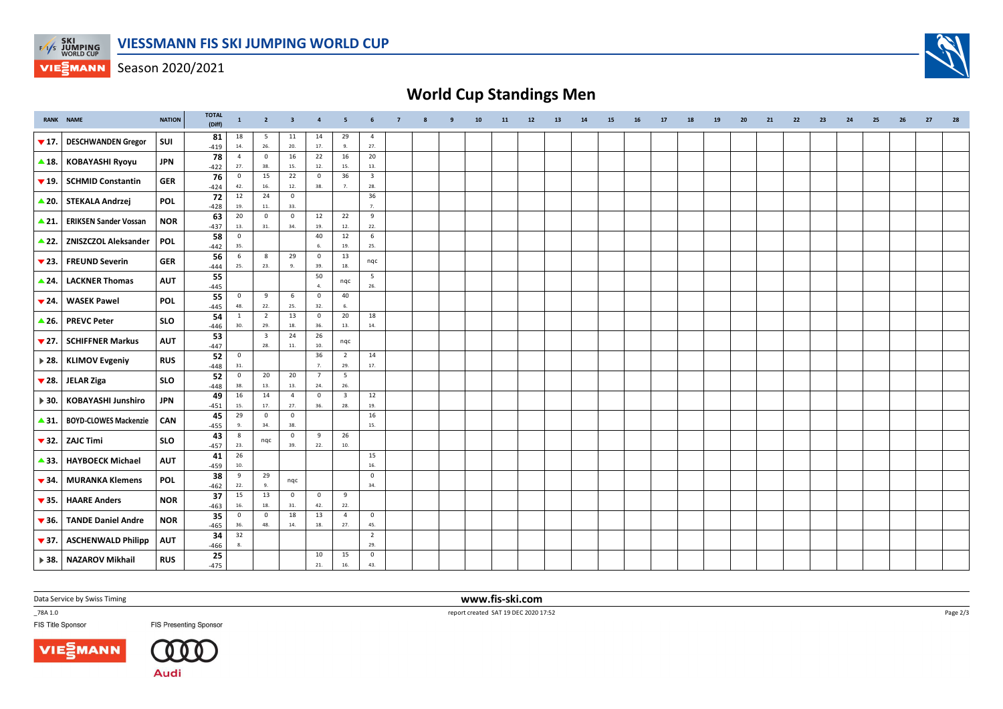

Season 2020/2021

## **World Cup Standings Men**

|                           | <b>RANK NAME</b>                           | <b>NATION</b> | <b>TOTAL</b><br>(Diff) | $\mathbf{1}$          | $\overline{2}$                 | $\overline{\mathbf{3}}$        | $\overline{4}$       | $5\overline{5}$                | 6                       | $\overline{7}$ | 8 | 9 | 10 | 11 | 12 | 13 | 14 | 15 | 16 | 17 | 18 | 19 | 20 | 21 | 22 | 23 | 24 | 25 | 26 | 27 | 28 |
|---------------------------|--------------------------------------------|---------------|------------------------|-----------------------|--------------------------------|--------------------------------|----------------------|--------------------------------|-------------------------|----------------|---|---|----|----|----|----|----|----|----|----|----|----|----|----|----|----|----|----|----|----|----|
| $\blacktriangledown$ 17.  | <b>DESCHWANDEN Gregor</b>                  | SUI           | 81<br>$-419$           | 18<br>14.             | 5<br>26.                       | 11<br>20.                      | 14<br>17.            | 29<br>9.                       | $\overline{4}$<br>27.   |                |   |   |    |    |    |    |    |    |    |    |    |    |    |    |    |    |    |    |    |    |    |
| $\triangle$ 18.           | <b>KOBAYASHI Ryoyu</b>                     | <b>JPN</b>    | 78                     | $\overline{4}$<br>27. | $\mathbf 0$<br>38.             | 16<br>15.                      | 22<br>12.            | 16<br>15.                      | 20<br>13.               |                |   |   |    |    |    |    |    |    |    |    |    |    |    |    |    |    |    |    |    |    |    |
|                           | $\blacktriangledown$ 19. SCHMID Constantin | <b>GER</b>    | $-422$<br>76           | $\overline{0}$        | 15                             | 22                             | $\mathbf 0$          | 36                             | $\overline{\mathbf{3}}$ |                |   |   |    |    |    |    |    |    |    |    |    |    |    |    |    |    |    |    |    |    |    |
|                           | ▲ 20. STEKALA Andrzej                      | <b>POL</b>    | $-424$<br>72           | 42.<br>12             | 16.<br>24                      | $12. \,$<br>$\mathbf 0$        | 38.                  | 7.                             | 28.<br>36               |                |   |   |    |    |    |    |    |    |    |    |    |    |    |    |    |    |    |    |    |    |    |
|                           | <b>ERIKSEN Sander Vossan</b>               | <b>NOR</b>    | $-428$<br>63           | 19.<br>20             | 11.<br>$\mathbf 0$             | 33.<br>$\mathbf 0$             | 12                   | 22                             | $\overline{7}$<br>9     |                |   |   |    |    |    |    |    |    |    |    |    |    |    |    |    |    |    |    |    |    |    |
| $\triangle$ 21.           |                                            |               | $-437$<br>58           | 13.<br>$\overline{0}$ | 31.                            | 34.                            | 19.<br>40            | 12.<br>12                      | 22.<br>6                |                |   |   |    |    |    |    |    |    |    |    |    |    |    |    |    |    |    |    |    |    |    |
|                           | 22. ZNISZCZOL Aleksander                   | <b>POL</b>    | $-442$                 | 35.                   | $\mathbf{8}$                   |                                | -6                   | 19.                            | 25.                     |                |   |   |    |    |    |    |    |    |    |    |    |    |    |    |    |    |    |    |    |    |    |
| $\blacktriangledown$ 23.  | <b>FREUND Severin</b>                      | <b>GER</b>    | 56<br>$-444$           | 6<br>25.              | 23.                            | 29<br>9.                       | $\mathsf 0$<br>39.   | 13<br>18.                      | nqc                     |                |   |   |    |    |    |    |    |    |    |    |    |    |    |    |    |    |    |    |    |    |    |
| $\triangle$ 24.           | <b>LACKNER Thomas</b>                      | <b>AUT</b>    | 55<br>$-445$           |                       |                                |                                | 50<br>$\overline{4}$ | nqc                            | 5<br>26.                |                |   |   |    |    |    |    |    |    |    |    |    |    |    |    |    |    |    |    |    |    |    |
| $\blacktriangledown$ 24.  | <b>WASEK Pawel</b>                         | <b>POL</b>    | 55<br>$-445$           | $\overline{0}$<br>48. | 9<br>22.                       | 6<br>25.                       | $\mathbf 0$<br>32.   | 40<br>6.                       |                         |                |   |   |    |    |    |    |    |    |    |    |    |    |    |    |    |    |    |    |    |    |    |
|                           | ▲ 26. PREVC Peter                          | <b>SLO</b>    | 54<br>$-446$           | $\mathbf{1}$<br>30.   | $\overline{2}$<br>29.          | 13<br>18.                      | $\mathbf 0$<br>36.   | 20<br>13.                      | 18<br>14.               |                |   |   |    |    |    |    |    |    |    |    |    |    |    |    |    |    |    |    |    |    |    |
| $\blacktriangledown$ 27.  | <b>SCHIFFNER Markus</b>                    | <b>AUT</b>    | 53<br>$-447$           |                       | $\overline{\mathbf{3}}$<br>28. | 24<br>11.                      | 26<br>10.            | nqc                            |                         |                |   |   |    |    |    |    |    |    |    |    |    |    |    |    |    |    |    |    |    |    |    |
| $\blacktriangleright$ 28. | <b>KLIMOV Evgeniy</b>                      | <b>RUS</b>    | 52                     | $\overline{0}$<br>31. |                                |                                | 36<br>$\overline{7}$ | $\overline{2}$<br>29.          | 14<br>17.               |                |   |   |    |    |    |    |    |    |    |    |    |    |    |    |    |    |    |    |    |    |    |
|                           | $\blacktriangledown$ 28. JELAR Ziga        | <b>SLO</b>    | $-448$<br>52           | $\overline{0}$        | 20                             | 20                             | $\overline{7}$       | $5\overline{5}$                |                         |                |   |   |    |    |    |    |    |    |    |    |    |    |    |    |    |    |    |    |    |    |    |
| $\blacktriangleright$ 30. | <b>KOBAYASHI Junshiro</b>                  | <b>JPN</b>    | $-448$<br>49           | 38.<br>16             | 13.<br>14                      | 13.<br>$\overline{4}$          | 24.<br>$\mathsf 0$   | 26.<br>$\overline{\mathbf{3}}$ | 12                      |                |   |   |    |    |    |    |    |    |    |    |    |    |    |    |    |    |    |    |    |    |    |
| $\triangle$ 31.           | <b>BOYD-CLOWES Mackenzie</b>               | CAN           | $-451$<br>45           | 15.<br>29             | 17.<br>$\mathbf 0$             | 27.<br>$\mathsf 0$             | 36.                  | 28.                            | 19.<br>16               |                |   |   |    |    |    |    |    |    |    |    |    |    |    |    |    |    |    |    |    |    |    |
|                           |                                            |               | $-455$<br>43           | 9.<br>8               | 34.                            | 38.<br>$\overline{\mathbf{0}}$ | 9                    | 26                             | 15.                     |                |   |   |    |    |    |    |    |    |    |    |    |    |    |    |    |    |    |    |    |    |    |
| $\blacktriangledown$ 32.  | <b>ZAJC Timi</b>                           | <b>SLO</b>    | $-457$                 | 23.                   | nqc                            | 39.                            | 22.                  | $10.$                          |                         |                |   |   |    |    |    |    |    |    |    |    |    |    |    |    |    |    |    |    |    |    |    |
| $\blacktriangle$ 33.      | <b>HAYBOECK Michael</b>                    | <b>AUT</b>    | 41<br>$-459$           | 26<br>10.             |                                |                                |                      |                                | 15<br>16.               |                |   |   |    |    |    |    |    |    |    |    |    |    |    |    |    |    |    |    |    |    |    |
| $\blacktriangledown$ 34.  | <b>MURANKA Klemens</b>                     | <b>POL</b>    | 38<br>$-462$           | 9<br>22.              | 29<br>9.                       | nqc                            |                      |                                | $\mathsf 0$<br>34.      |                |   |   |    |    |    |    |    |    |    |    |    |    |    |    |    |    |    |    |    |    |    |
| $\blacktriangledown$ 35.  | <b>HAARE Anders</b>                        | <b>NOR</b>    | 37<br>$-463$           | 15<br>16.             | 13<br>18.                      | $\mathbf 0$<br>31.             | $\circ$<br>42.       | 9<br>22.                       |                         |                |   |   |    |    |    |    |    |    |    |    |    |    |    |    |    |    |    |    |    |    |    |
| $\blacktriangledown$ 36.  | <b>TANDE Daniel Andre</b>                  | <b>NOR</b>    | 35<br>$-465$           | $\overline{0}$<br>36. | $\mathbf 0$<br>48.             | 18<br>14.                      | 13<br>18.            | $\overline{4}$<br>27.          | $\mathbf{0}$<br>45.     |                |   |   |    |    |    |    |    |    |    |    |    |    |    |    |    |    |    |    |    |    |    |
| $\blacktriangledown$ 37.  | <b>ASCHENWALD Philipp</b>                  | <b>AUT</b>    | 34<br>$-466$           | 32                    |                                |                                |                      |                                | $\overline{2}$<br>29.   |                |   |   |    |    |    |    |    |    |    |    |    |    |    |    |    |    |    |    |    |    |    |
|                           | > 38.   NAZAROV Mikhail                    | <b>RUS</b>    | 25<br>$-475$           |                       |                                |                                | 10<br>21.            | 15<br>16.                      | $\mathbf 0$<br>43.      |                |   |   |    |    |    |    |    |    |    |    |    |    |    |    |    |    |    |    |    |    |    |

Data Service by Swiss Timing

\_78A 1.0

FIS Title Sponsor



**www.fis-ski.com**

report created SAT 19 DEC 2020 17:52

Page 2/3